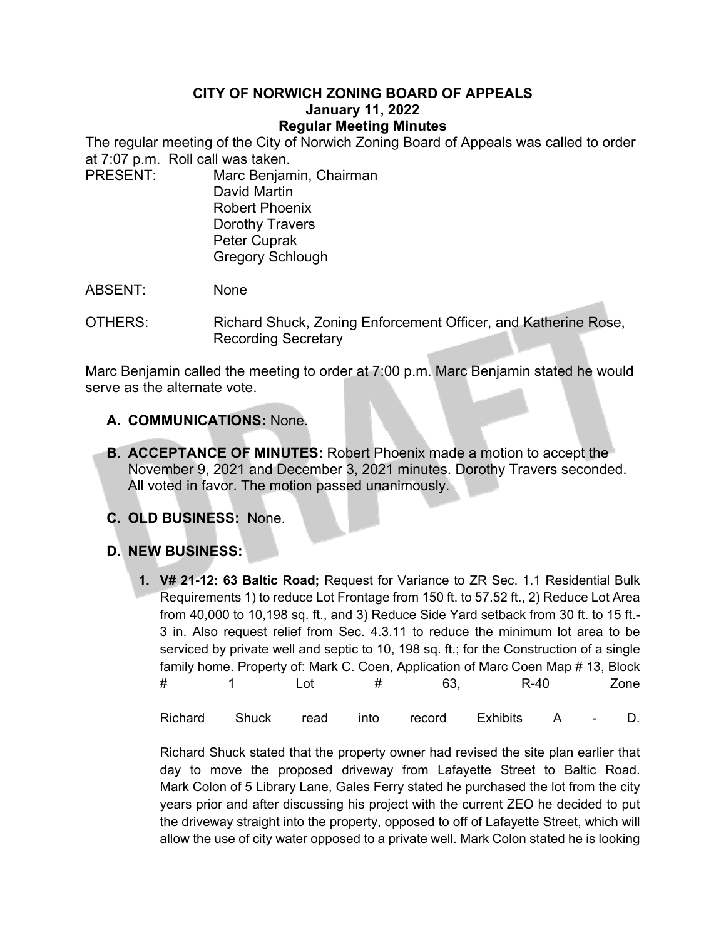## **CITY OF NORWICH ZONING BOARD OF APPEALS January 11, 2022 Regular Meeting Minutes**

The regular meeting of the City of Norwich Zoning Board of Appeals was called to order at 7:07 p.m. Roll call was taken.

PRESENT: Marc Benjamin, Chairman David Martin Robert Phoenix Dorothy Travers Peter Cuprak Gregory Schlough

ABSENT: None

OTHERS: Richard Shuck, Zoning Enforcement Officer, and Katherine Rose, Recording Secretary

Marc Benjamin called the meeting to order at 7:00 p.m. Marc Benjamin stated he would serve as the alternate vote.

- **A. COMMUNICATIONS:** None.
- **B. ACCEPTANCE OF MINUTES:** Robert Phoenix made a motion to accept the November 9, 2021 and December 3, 2021 minutes. Dorothy Travers seconded. All voted in favor. The motion passed unanimously.
- **C. OLD BUSINESS:** None.
- **D. NEW BUSINESS:**
	- **1. V# 21-12: 63 Baltic Road;** Request for Variance to ZR Sec. 1.1 Residential Bulk Requirements 1) to reduce Lot Frontage from 150 ft. to 57.52 ft., 2) Reduce Lot Area from 40,000 to 10,198 sq. ft., and 3) Reduce Side Yard setback from 30 ft. to 15 ft.- 3 in. Also request relief from Sec. 4.3.11 to reduce the minimum lot area to be serviced by private well and septic to 10, 198 sq. ft.; for the Construction of a single family home. Property of: Mark C. Coen, Application of Marc Coen Map # 13, Block # 1 Lot # 63, R-40 Zone Richard Shuck read into record Exhibits A - D.

Richard Shuck stated that the property owner had revised the site plan earlier that day to move the proposed driveway from Lafayette Street to Baltic Road. Mark Colon of 5 Library Lane, Gales Ferry stated he purchased the lot from the city years prior and after discussing his project with the current ZEO he decided to put the driveway straight into the property, opposed to off of Lafayette Street, which will allow the use of city water opposed to a private well. Mark Colon stated he is looking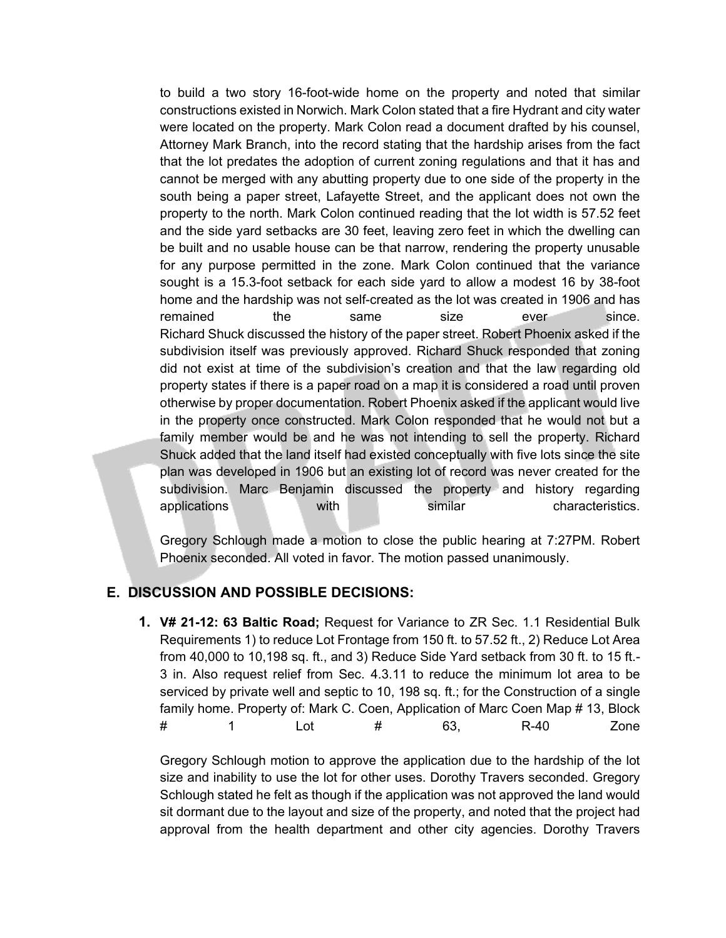to build a two story 16-foot-wide home on the property and noted that similar constructions existed in Norwich. Mark Colon stated that a fire Hydrant and city water were located on the property. Mark Colon read a document drafted by his counsel, Attorney Mark Branch, into the record stating that the hardship arises from the fact that the lot predates the adoption of current zoning regulations and that it has and cannot be merged with any abutting property due to one side of the property in the south being a paper street, Lafayette Street, and the applicant does not own the property to the north. Mark Colon continued reading that the lot width is 57.52 feet and the side yard setbacks are 30 feet, leaving zero feet in which the dwelling can be built and no usable house can be that narrow, rendering the property unusable for any purpose permitted in the zone. Mark Colon continued that the variance sought is a 15.3-foot setback for each side yard to allow a modest 16 by 38-foot home and the hardship was not self-created as the lot was created in 1906 and has remained the same size ever since. Richard Shuck discussed the history of the paper street. Robert Phoenix asked if the subdivision itself was previously approved. Richard Shuck responded that zoning did not exist at time of the subdivision's creation and that the law regarding old property states if there is a paper road on a map it is considered a road until proven otherwise by proper documentation. Robert Phoenix asked if the applicant would live in the property once constructed. Mark Colon responded that he would not but a family member would be and he was not intending to sell the property. Richard Shuck added that the land itself had existed conceptually with five lots since the site plan was developed in 1906 but an existing lot of record was never created for the subdivision. Marc Benjamin discussed the property and history regarding applications with similar characteristics.

Gregory Schlough made a motion to close the public hearing at 7:27PM. Robert Phoenix seconded. All voted in favor. The motion passed unanimously.

## **E. DISCUSSION AND POSSIBLE DECISIONS:**

**1. V# 21-12: 63 Baltic Road;** Request for Variance to ZR Sec. 1.1 Residential Bulk Requirements 1) to reduce Lot Frontage from 150 ft. to 57.52 ft., 2) Reduce Lot Area from 40,000 to 10,198 sq. ft., and 3) Reduce Side Yard setback from 30 ft. to 15 ft.- 3 in. Also request relief from Sec. 4.3.11 to reduce the minimum lot area to be serviced by private well and septic to 10, 198 sq. ft.; for the Construction of a single family home. Property of: Mark C. Coen, Application of Marc Coen Map # 13, Block # 1 Lot # 63, R-40 Zone

Gregory Schlough motion to approve the application due to the hardship of the lot size and inability to use the lot for other uses. Dorothy Travers seconded. Gregory Schlough stated he felt as though if the application was not approved the land would sit dormant due to the layout and size of the property, and noted that the project had approval from the health department and other city agencies. Dorothy Travers